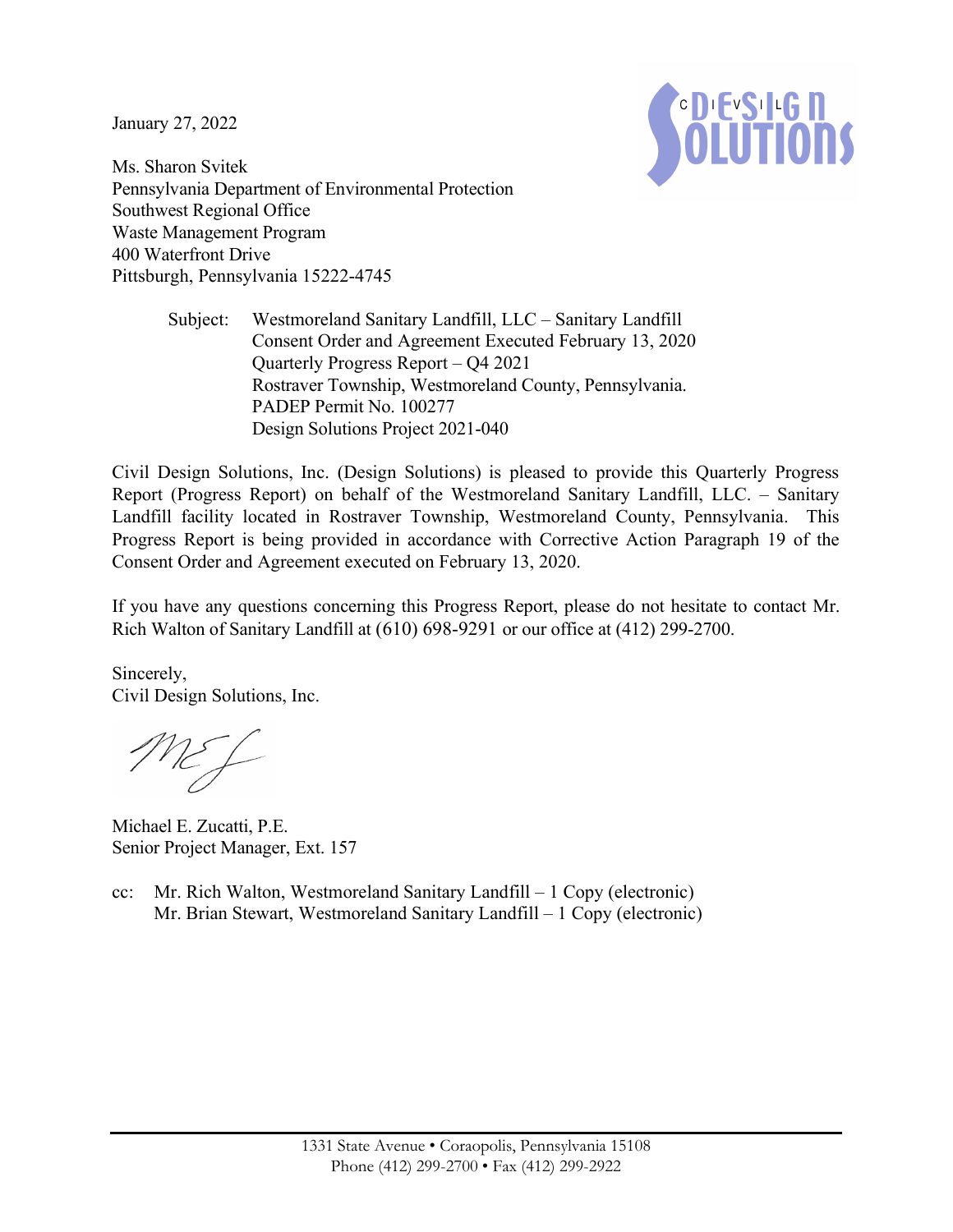January 27, 2022



Ms. Sharon Svitek Pennsylvania Department of Environmental Protection Southwest Regional Office Waste Management Program 400 Waterfront Drive Pittsburgh, Pennsylvania 15222-4745

> Subject: Westmoreland Sanitary Landfill, LLC – Sanitary Landfill Consent Order and Agreement Executed February 13, 2020 Quarterly Progress Report – Q4 2021 Rostraver Township, Westmoreland County, Pennsylvania. PADEP Permit No. 100277 Design Solutions Project 2021-040

Civil Design Solutions, Inc. (Design Solutions) is pleased to provide this Quarterly Progress Report (Progress Report) on behalf of the Westmoreland Sanitary Landfill, LLC. – Sanitary Landfill facility located in Rostraver Township, Westmoreland County, Pennsylvania. This Progress Report is being provided in accordance with Corrective Action Paragraph 19 of the Consent Order and Agreement executed on February 13, 2020.

If you have any questions concerning this Progress Report, please do not hesitate to contact Mr. Rich Walton of Sanitary Landfill at (610) 698-9291 or our office at (412) 299-2700.

Sincerely, Civil Design Solutions, Inc.

MEJ

Michael E. Zucatti, P.E. Senior Project Manager, Ext. 157

cc: Mr. Rich Walton, Westmoreland Sanitary Landfill – 1 Copy (electronic) Mr. Brian Stewart, Westmoreland Sanitary Landfill – 1 Copy (electronic)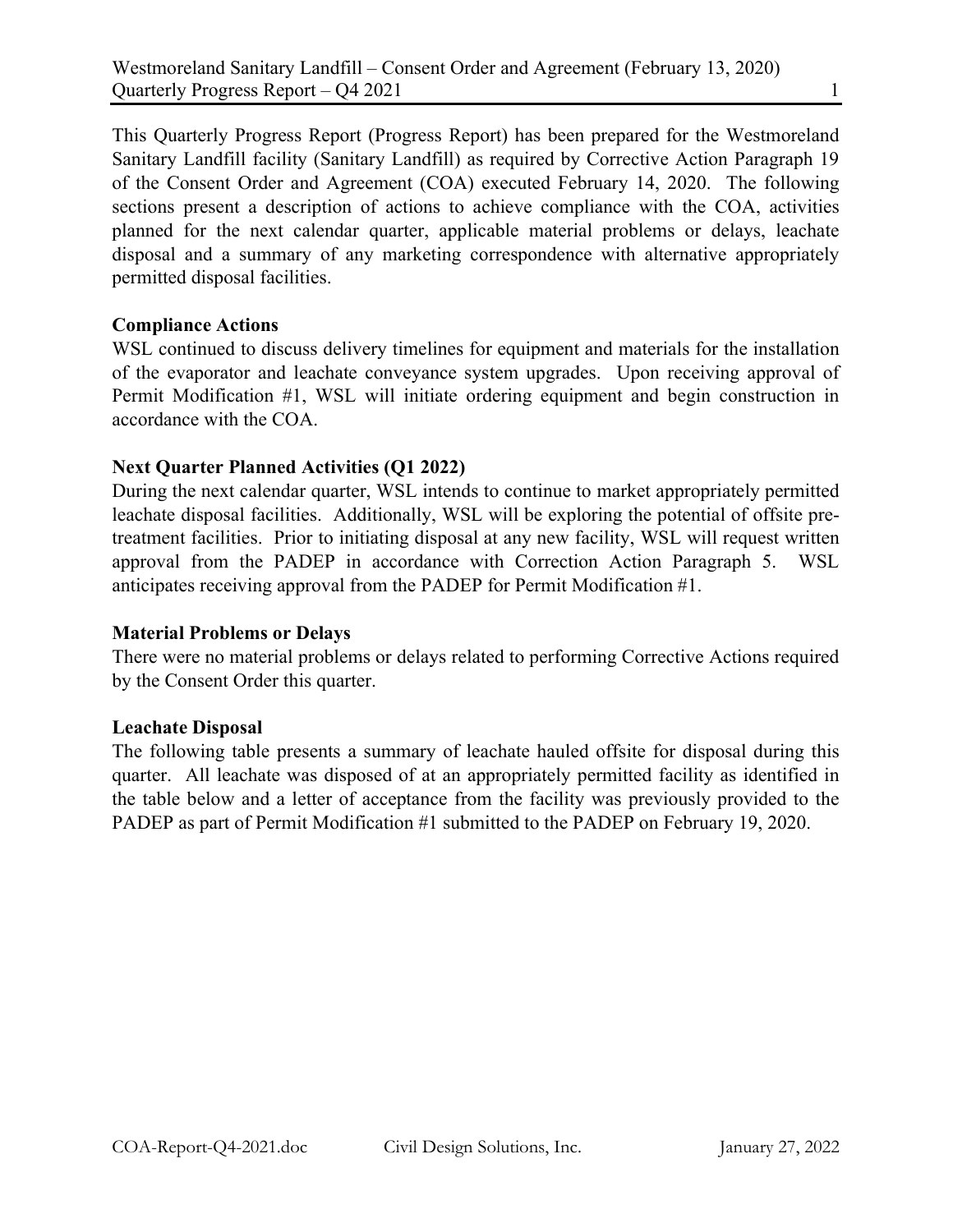This Quarterly Progress Report (Progress Report) has been prepared for the Westmoreland Sanitary Landfill facility (Sanitary Landfill) as required by Corrective Action Paragraph 19 of the Consent Order and Agreement (COA) executed February 14, 2020. The following sections present a description of actions to achieve compliance with the COA, activities planned for the next calendar quarter, applicable material problems or delays, leachate disposal and a summary of any marketing correspondence with alternative appropriately permitted disposal facilities.

# Compliance Actions

WSL continued to discuss delivery timelines for equipment and materials for the installation of the evaporator and leachate conveyance system upgrades. Upon receiving approval of Permit Modification #1, WSL will initiate ordering equipment and begin construction in accordance with the COA.

# Next Quarter Planned Activities (Q1 2022)

During the next calendar quarter, WSL intends to continue to market appropriately permitted leachate disposal facilities. Additionally, WSL will be exploring the potential of offsite pretreatment facilities. Prior to initiating disposal at any new facility, WSL will request written approval from the PADEP in accordance with Correction Action Paragraph 5. WSL anticipates receiving approval from the PADEP for Permit Modification #1.

## Material Problems or Delays

There were no material problems or delays related to performing Corrective Actions required by the Consent Order this quarter.

## Leachate Disposal

The following table presents a summary of leachate hauled offsite for disposal during this quarter. All leachate was disposed of at an appropriately permitted facility as identified in the table below and a letter of acceptance from the facility was previously provided to the PADEP as part of Permit Modification #1 submitted to the PADEP on February 19, 2020.